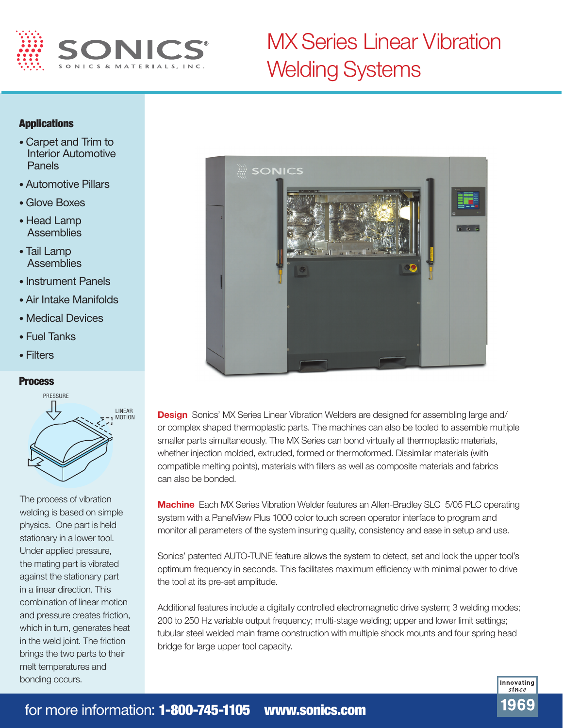

## MX Series Linear Vibration Welding Systems

## Applications

- Carpet and Trim to Interior Automotive Panels
- Automotive Pillars
- Glove Boxes
- Head Lamp **Assemblies**
- Tail Lamp **Assemblies**
- Instrument Panels
- Air Intake Manifolds
- Medical Devices
- Fuel Tanks
- Filters

## **Process**



The process of vibration welding is based on simple physics. One part is held stationary in a lower tool. Under applied pressure, the mating part is vibrated against the stationary part in a linear direction. This combination of linear motion and pressure creates friction, which in turn, generates heat in the weld joint. The friction brings the two parts to their melt temperatures and bonding occurs.



**Design** Sonics' MX Series Linear Vibration Welders are designed for assembling large and/ or complex shaped thermoplastic parts. The machines can also be tooled to assemble multiple smaller parts simultaneously. The MX Series can bond virtually all thermoplastic materials, whether injection molded, extruded, formed or thermoformed. Dissimilar materials (with compatible melting points), materials with fillers as well as composite materials and fabrics can also be bonded.

**Machine** Each MX Series Vibration Welder features an Allen-Bradley SLC 5/05 PLC operating system with a PanelView Plus 1000 color touch screen operator interface to program and monitor all parameters of the system insuring quality, consistency and ease in setup and use.

Sonics' patented AUTO-TUNE feature allows the system to detect, set and lock the upper tool's optimum frequency in seconds. This facilitates maximum efficiency with minimal power to drive the tool at its pre-set amplitude.

Additional features include a digitally controlled electromagnetic drive system; 3 welding modes; 200 to 250 Hz variable output frequency; multi-stage welding; upper and lower limit settings; tubular steel welded main frame construction with multiple shock mounts and four spring head bridge for large upper tool capacity.

> Innovating sínce 1969